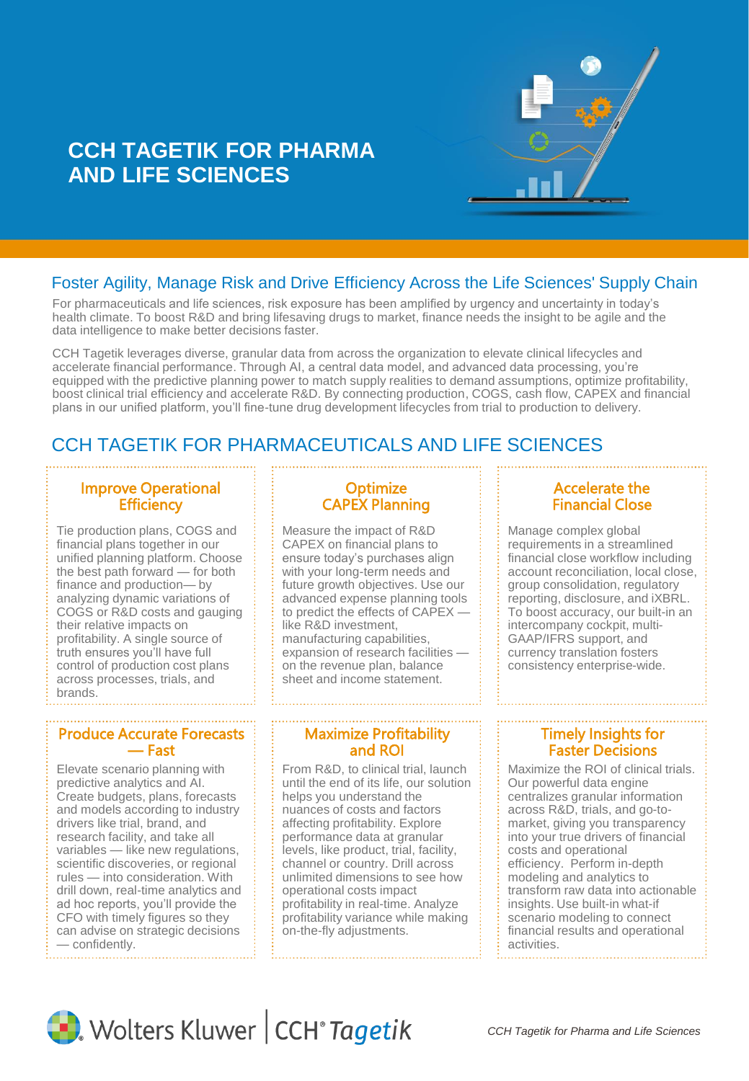

# **CCH TAGETIK FOR PHARMA AND LIFE SCIENCES**

# Foster Agility, Manage Risk and Drive Efficiency Across the Life Sciences' Supply Chain

For pharmaceuticals and life sciences, risk exposure has been amplified by urgency and uncertainty in today's health climate. To boost R&D and bring lifesaving drugs to market, finance needs the insight to be agile and the data intelligence to make better decisions faster.

CCH Tagetik leverages diverse, granular data from across the organization to elevate clinical lifecycles and accelerate financial performance. Through AI, a central data model, and advanced data processing, you're equipped with the predictive planning power to match supply realities to demand assumptions, optimize profitability, boost clinical trial efficiency and accelerate R&D. By connecting production, COGS, cash flow, CAPEX and financial plans in our unified platform, you'll fine-tune drug development lifecycles from trial to production to delivery.

# CCH TAGETIK FOR PHARMACEUTICALS AND LIFE SCIENCES

### Improve Operational **Efficiency**

Tie production plans, COGS and financial plans together in our unified planning platform. Choose the best path forward — for both finance and production— by analyzing dynamic variations of COGS or R&D costs and gauging their relative impacts on profitability. A single source of truth ensures you'll have full control of production cost plans across processes, trials, and brands.

#### Produce Accurate Forecasts — Fast

Elevate scenario planning with predictive analytics and AI. Create budgets, plans, forecasts and models according to industry drivers like trial, brand, and research facility, and take all variables — like new regulations, scientific discoveries, or regional rules — into consideration. With drill down, real-time analytics and ad hoc reports, you'll provide the CFO with timely figures so they can advise on strategic decisions — confidently.

### **Optimize** CAPEX Planning

Measure the impact of R&D CAPEX on financial plans to ensure today's purchases align with your long-term needs and future growth objectives. Use our advanced expense planning tools to predict the effects of CAPEX like R&D investment, manufacturing capabilities, expansion of research facilities on the revenue plan, balance sheet and income statement.

#### Maximize Profitability and ROI

From R&D, to clinical trial, launch until the end of its life, our solution helps you understand the nuances of costs and factors affecting profitability. Explore performance data at granular levels, like product, trial, facility, channel or country. Drill across unlimited dimensions to see how operational costs impact profitability in real-time. Analyze profitability variance while making on-the-fly adjustments.

#### Accelerate the Financial Close

Manage complex global requirements in a streamlined financial close workflow including account reconciliation, local close, group consolidation, regulatory reporting, disclosure, and iXBRL. To boost accuracy, our built-in an intercompany cockpit, multi-GAAP/IFRS support, and currency translation fosters consistency enterprise-wide.

#### Timely Insights for Faster Decisions

Maximize the ROI of clinical trials. Our powerful data engine centralizes granular information across R&D, trials, and go-tomarket, giving you transparency into your true drivers of financial costs and operational efficiency. Perform in-depth modeling and analytics to transform raw data into actionable insights. Use built-in what-if scenario modeling to connect financial results and operational activities.